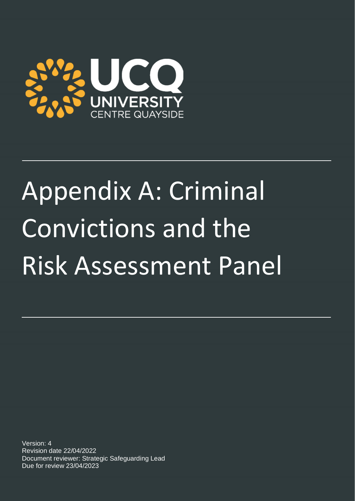

# Appendix A: Criminal Convictions and the Risk Assessment Panel

Version: 4 Revision date 22/04/2022 Document reviewer: Strategic Safeguarding Lead Due for review 23/04/2023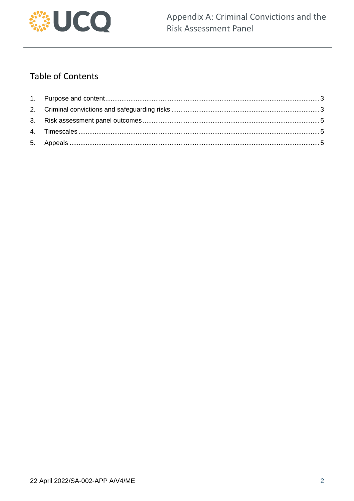

## **Table of Contents**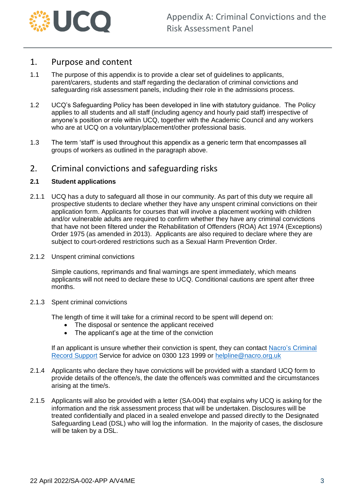

## <span id="page-2-0"></span>1. Purpose and content

- 1.1 The purpose of this appendix is to provide a clear set of guidelines to applicants, parent/carers, students and staff regarding the declaration of criminal convictions and safeguarding risk assessment panels, including their role in the admissions process.
- 1.2 UCQ's Safeguarding Policy has been developed in line with statutory guidance. The Policy applies to all students and all staff (including agency and hourly paid staff) irrespective of anyone's position or role within UCQ, together with the Academic Council and any workers who are at UCQ on a voluntary/placement/other professional basis.
- 1.3 The term 'staff' is used throughout this appendix as a generic term that encompasses all groups of workers as outlined in the paragraph above.

## <span id="page-2-1"></span>2. Criminal convictions and safeguarding risks

#### **2.1 Student applications**

- 2.1.1 UCQ has a duty to safeguard all those in our community. As part of this duty we require all prospective students to declare whether they have any unspent criminal convictions on their application form. Applicants for courses that will involve a placement working with children and/or vulnerable adults are required to confirm whether they have any criminal convictions that have not been filtered under the Rehabilitation of Offenders (ROA) Act 1974 (Exceptions) Order 1975 (as amended in 2013). Applicants are also required to declare where they are subject to court-ordered restrictions such as a Sexual Harm Prevention Order.
- 2.1.2 Unspent criminal convictions

Simple cautions, reprimands and final warnings are spent immediately, which means applicants will not need to declare these to UCQ. Conditional cautions are spent after three months.

2.1.3 Spent criminal convictions

The length of time it will take for a criminal record to be spent will depend on:

- The disposal or sentence the applicant received
- The applicant's age at the time of the conviction

If an applicant is unsure whether their conviction is spent, they can contact Nacro's Criminal [Record Support](https://www.nacro.org.uk/criminal-record-support-service/#longspent) Service for advice on 0300 123 1999 or [helpline@nacro.org.uk](mailto:helpline@nacro.org.uk)

- 2.1.4 Applicants who declare they have convictions will be provided with a standard UCQ form to provide details of the offence/s, the date the offence/s was committed and the circumstances arising at the time/s.
- 2.1.5 Applicants will also be provided with a letter (SA-004) that explains why UCQ is asking for the information and the risk assessment process that will be undertaken. Disclosures will be treated confidentially and placed in a sealed envelope and passed directly to the Designated Safeguarding Lead (DSL) who will log the information. In the majority of cases, the disclosure will be taken by a DSL.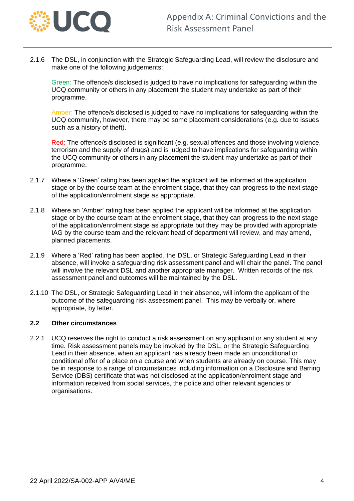

2.1.6 The DSL, in conjunction with the Strategic Safeguarding Lead, will review the disclosure and make one of the following judgements:

Green: The offence/s disclosed is judged to have no implications for safeguarding within the UCQ community or others in any placement the student may undertake as part of their programme.

Amber: The offence/s disclosed is judged to have no implications for safeguarding within the UCQ community, however, there may be some placement considerations (e.g. due to issues such as a history of theft).

Red: The offence/s disclosed is significant (e.g. sexual offences and those involving violence, terrorism and the supply of drugs) and is judged to have implications for safeguarding within the UCQ community or others in any placement the student may undertake as part of their programme.

- 2.1.7 Where a 'Green' rating has been applied the applicant will be informed at the application stage or by the course team at the enrolment stage, that they can progress to the next stage of the application/enrolment stage as appropriate.
- 2.1.8 Where an 'Amber' rating has been applied the applicant will be informed at the application stage or by the course team at the enrolment stage, that they can progress to the next stage of the application/enrolment stage as appropriate but they may be provided with appropriate IAG by the course team and the relevant head of department will review, and may amend, planned placements.
- 2.1.9 Where a 'Red' rating has been applied, the DSL, or Strategic Safeguarding Lead in their absence, will invoke a safeguarding risk assessment panel and will chair the panel. The panel will involve the relevant DSL and another appropriate manager. Written records of the risk assessment panel and outcomes will be maintained by the DSL.
- 2.1.10 The DSL, or Strategic Safeguarding Lead in their absence, will inform the applicant of the outcome of the safeguarding risk assessment panel. This may be verbally or, where appropriate, by letter.

#### **2.2 Other circumstances**

2.2.1 UCQ reserves the right to conduct a risk assessment on any applicant or any student at any time. Risk assessment panels may be invoked by the DSL, or the Strategic Safeguarding Lead in their absence, when an applicant has already been made an unconditional or conditional offer of a place on a course and when students are already on course. This may be in response to a range of circumstances including information on a Disclosure and Barring Service (DBS) certificate that was not disclosed at the application/enrolment stage and information received from social services, the police and other relevant agencies or organisations.